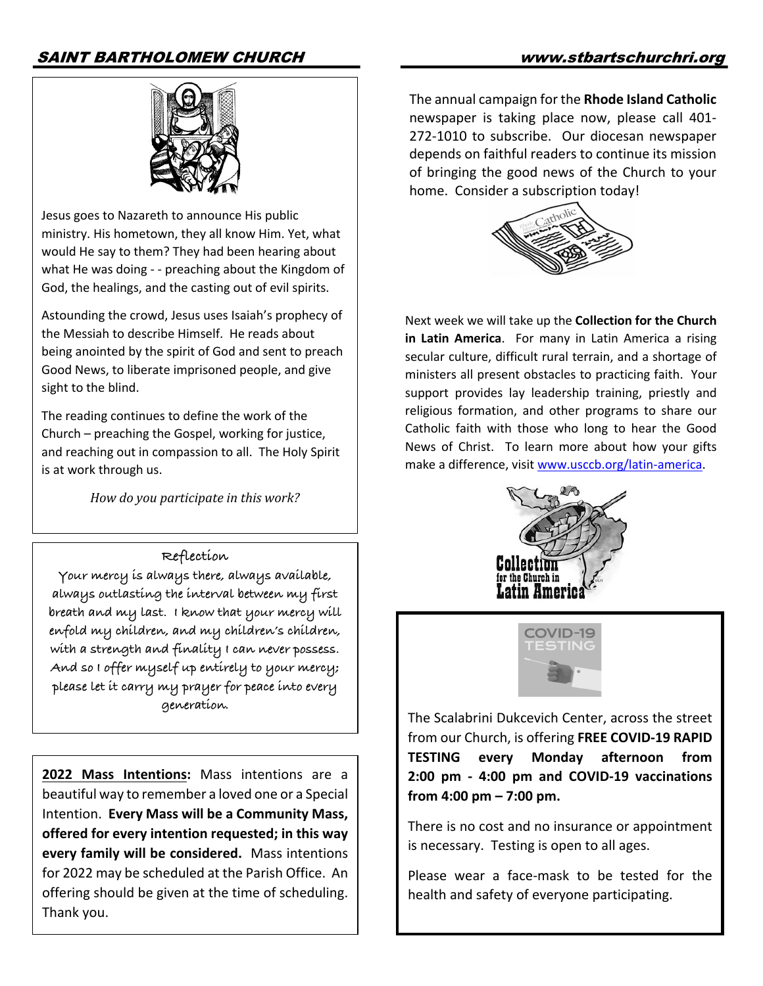# SAINT BARTHOLOMEW CHURCH www.stbartschurchri.org



Jesus goes to Nazareth to announce His public ministry. His hometown, they all know Him. Yet, what would He say to them? They had been hearing about what He was doing - - preaching about the Kingdom of God, the healings, and the casting out of evil spirits.

Astounding the crowd, Jesus uses Isaiah's prophecy of the Messiah to describe Himself. He reads about being anointed by the spirit of God and sent to preach Good News, to liberate imprisoned people, and give sight to the blind.

The reading continues to define the work of the Church – preaching the Gospel, working for justice, and reaching out in compassion to all. The Holy Spirit is at work through us.

*How do you participate in this work?* 

#### **Reflection**

**Your mercy is always there, always available, always outlasting the interval between my first breath and my last. I know that your mercy will enfold my children, and my children's children, with a strength and finality I can never possess. And so I offer myself up entirely to your mercy; please let it carry my prayer for peace into every generation**.

**2022 Mass Intentions:** Mass intentions are a beautiful way to remember a loved one or a Special Intention. **Every Mass will be a Community Mass, offered for every intention requested; in this way every family will be considered.** Mass intentions for 2022 may be scheduled at the Parish Office. An offering should be given at the time of scheduling. Thank you.

The annual campaign for the **Rhode Island Catholic** newspaper is taking place now, please call 401- 272-1010 to subscribe. Our diocesan newspaper depends on faithful readers to continue its mission of bringing the good news of the Church to your home. Consider a subscription today!



Next week we will take up the **Collection for the Church in Latin America**. For many in Latin America a rising secular culture, difficult rural terrain, and a shortage of ministers all present obstacles to practicing faith. Your support provides lay leadership training, priestly and religious formation, and other programs to share our Catholic faith with those who long to hear the Good News of Christ. To learn more about how your gifts make a difference, visit www.usccb.org/latin-america.





The Scalabrini Dukcevich Center, across the street from our Church, is offering **FREE COVID-19 RAPID TESTING every Monday afternoon from 2:00 pm - 4:00 pm and COVID-19 vaccinations from 4:00 pm – 7:00 pm.** 

There is no cost and no insurance or appointment is necessary. Testing is open to all ages.

Please wear a face-mask to be tested for the health and safety of everyone participating.